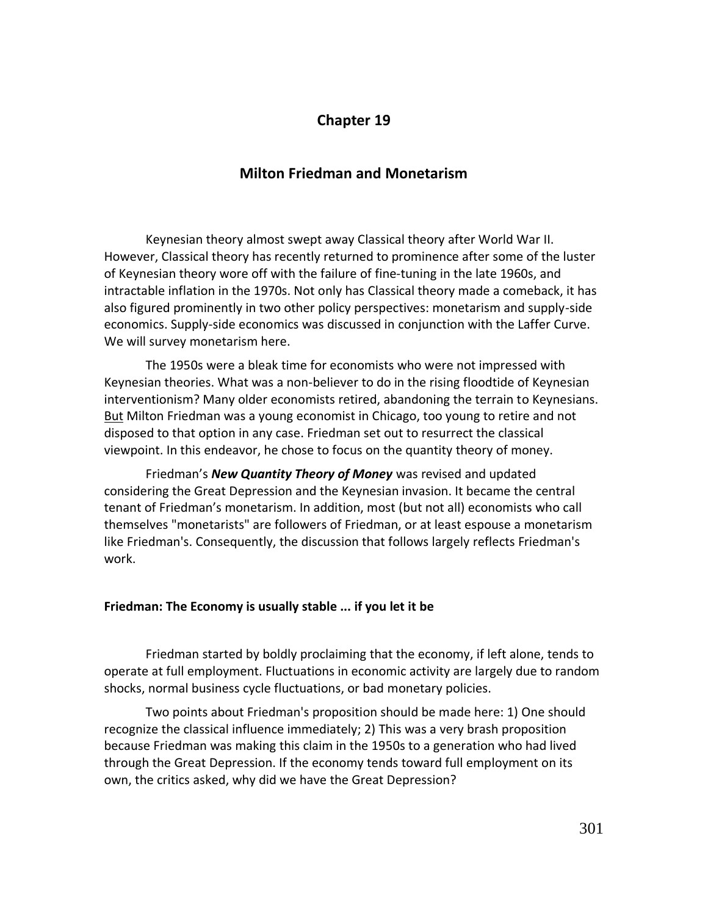# **Chapter 19**

## **Milton Friedman and Monetarism**

Keynesian theory almost swept away Classical theory after World War II. However, Classical theory has recently returned to prominence after some of the luster of Keynesian theory wore off with the failure of fine-tuning in the late 1960s, and intractable inflation in the 1970s. Not only has Classical theory made a comeback, it has also figured prominently in two other policy perspectives: monetarism and supply-side economics. Supply-side economics was discussed in conjunction with the Laffer Curve. We will survey monetarism here.

The 1950s were a bleak time for economists who were not impressed with Keynesian theories. What was a non-believer to do in the rising floodtide of Keynesian interventionism? Many older economists retired, abandoning the terrain to Keynesians. But Milton Friedman was a young economist in Chicago, too young to retire and not disposed to that option in any case. Friedman set out to resurrect the classical viewpoint. In this endeavor, he chose to focus on the quantity theory of money.

Friedman's *New Quantity Theory of Money* was revised and updated considering the Great Depression and the Keynesian invasion. It became the central tenant of Friedman's monetarism. In addition, most (but not all) economists who call themselves "monetarists" are followers of Friedman, or at least espouse a monetarism like Friedman's. Consequently, the discussion that follows largely reflects Friedman's work.

### **Friedman: The Economy is usually stable ... if you let it be**

Friedman started by boldly proclaiming that the economy, if left alone, tends to operate at full employment. Fluctuations in economic activity are largely due to random shocks, normal business cycle fluctuations, or bad monetary policies.

Two points about Friedman's proposition should be made here: 1) One should recognize the classical influence immediately; 2) This was a very brash proposition because Friedman was making this claim in the 1950s to a generation who had lived through the Great Depression. If the economy tends toward full employment on its own, the critics asked, why did we have the Great Depression?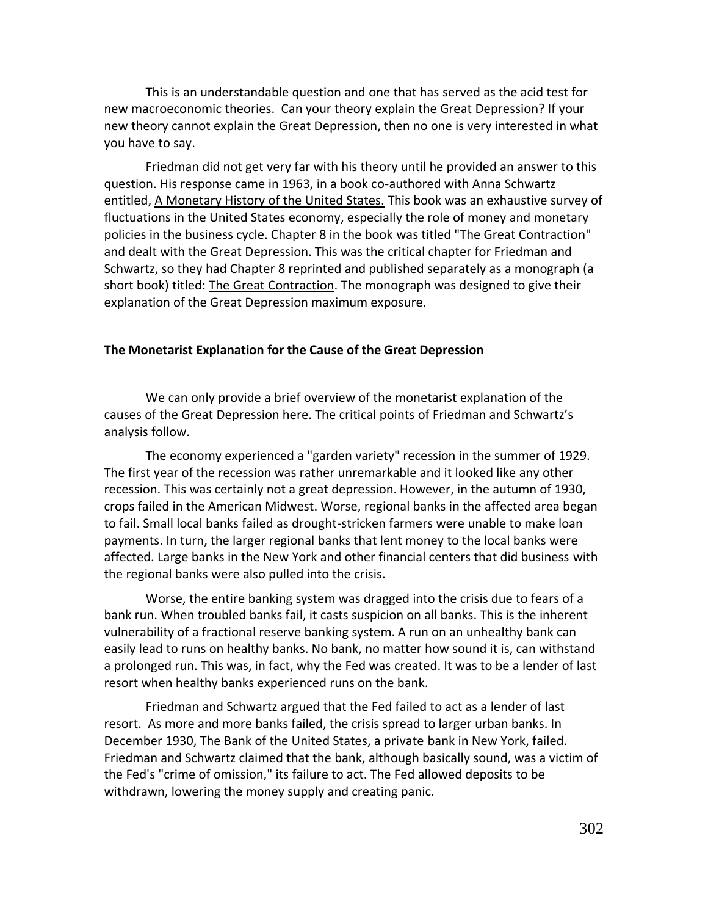This is an understandable question and one that has served as the acid test for new macroeconomic theories. Can your theory explain the Great Depression? If your new theory cannot explain the Great Depression, then no one is very interested in what you have to say.

Friedman did not get very far with his theory until he provided an answer to this question. His response came in 1963, in a book co-authored with Anna Schwartz entitled, A Monetary History of the United States. This book was an exhaustive survey of fluctuations in the United States economy, especially the role of money and monetary policies in the business cycle. Chapter 8 in the book was titled "The Great Contraction" and dealt with the Great Depression. This was the critical chapter for Friedman and Schwartz, so they had Chapter 8 reprinted and published separately as a monograph (a short book) titled: The Great Contraction. The monograph was designed to give their explanation of the Great Depression maximum exposure.

#### **The Monetarist Explanation for the Cause of the Great Depression**

We can only provide a brief overview of the monetarist explanation of the causes of the Great Depression here. The critical points of Friedman and Schwartz's analysis follow.

The economy experienced a "garden variety" recession in the summer of 1929. The first year of the recession was rather unremarkable and it looked like any other recession. This was certainly not a great depression. However, in the autumn of 1930, crops failed in the American Midwest. Worse, regional banks in the affected area began to fail. Small local banks failed as drought-stricken farmers were unable to make loan payments. In turn, the larger regional banks that lent money to the local banks were affected. Large banks in the New York and other financial centers that did business with the regional banks were also pulled into the crisis.

Worse, the entire banking system was dragged into the crisis due to fears of a bank run. When troubled banks fail, it casts suspicion on all banks. This is the inherent vulnerability of a fractional reserve banking system. A run on an unhealthy bank can easily lead to runs on healthy banks. No bank, no matter how sound it is, can withstand a prolonged run. This was, in fact, why the Fed was created. It was to be a lender of last resort when healthy banks experienced runs on the bank.

Friedman and Schwartz argued that the Fed failed to act as a lender of last resort. As more and more banks failed, the crisis spread to larger urban banks. In December 1930, The Bank of the United States, a private bank in New York, failed. Friedman and Schwartz claimed that the bank, although basically sound, was a victim of the Fed's "crime of omission," its failure to act. The Fed allowed deposits to be withdrawn, lowering the money supply and creating panic.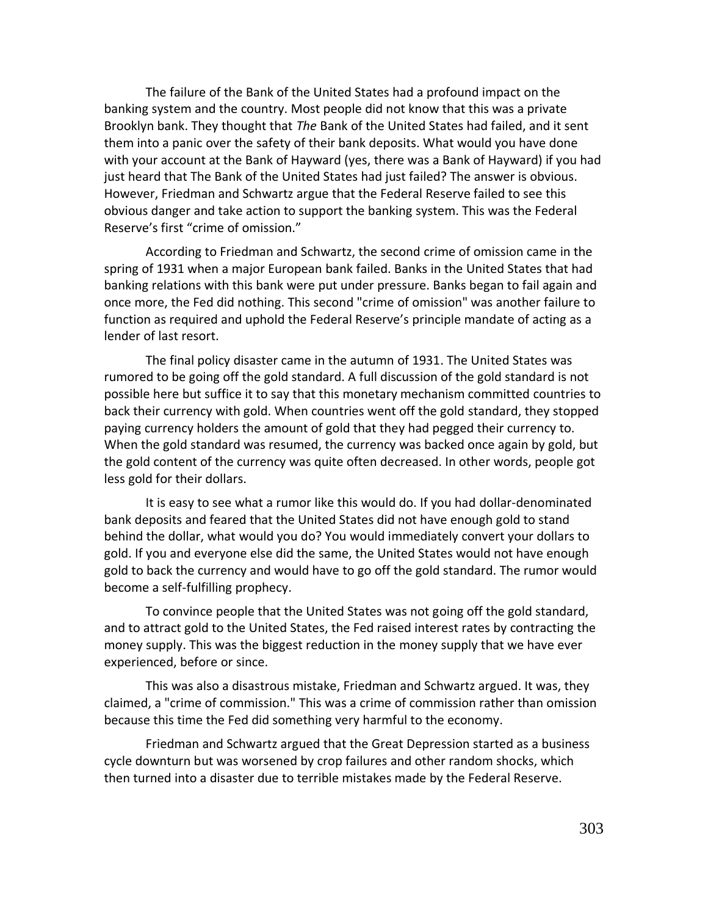The failure of the Bank of the United States had a profound impact on the banking system and the country. Most people did not know that this was a private Brooklyn bank. They thought that *The* Bank of the United States had failed, and it sent them into a panic over the safety of their bank deposits. What would you have done with your account at the Bank of Hayward (yes, there was a Bank of Hayward) if you had just heard that The Bank of the United States had just failed? The answer is obvious. However, Friedman and Schwartz argue that the Federal Reserve failed to see this obvious danger and take action to support the banking system. This was the Federal Reserve's first "crime of omission."

According to Friedman and Schwartz, the second crime of omission came in the spring of 1931 when a major European bank failed. Banks in the United States that had banking relations with this bank were put under pressure. Banks began to fail again and once more, the Fed did nothing. This second "crime of omission" was another failure to function as required and uphold the Federal Reserve's principle mandate of acting as a lender of last resort.

The final policy disaster came in the autumn of 1931. The United States was rumored to be going off the gold standard. A full discussion of the gold standard is not possible here but suffice it to say that this monetary mechanism committed countries to back their currency with gold. When countries went off the gold standard, they stopped paying currency holders the amount of gold that they had pegged their currency to. When the gold standard was resumed, the currency was backed once again by gold, but the gold content of the currency was quite often decreased. In other words, people got less gold for their dollars.

It is easy to see what a rumor like this would do. If you had dollar-denominated bank deposits and feared that the United States did not have enough gold to stand behind the dollar, what would you do? You would immediately convert your dollars to gold. If you and everyone else did the same, the United States would not have enough gold to back the currency and would have to go off the gold standard. The rumor would become a self-fulfilling prophecy.

To convince people that the United States was not going off the gold standard, and to attract gold to the United States, the Fed raised interest rates by contracting the money supply. This was the biggest reduction in the money supply that we have ever experienced, before or since.

This was also a disastrous mistake, Friedman and Schwartz argued. It was, they claimed, a "crime of commission." This was a crime of commission rather than omission because this time the Fed did something very harmful to the economy.

Friedman and Schwartz argued that the Great Depression started as a business cycle downturn but was worsened by crop failures and other random shocks, which then turned into a disaster due to terrible mistakes made by the Federal Reserve.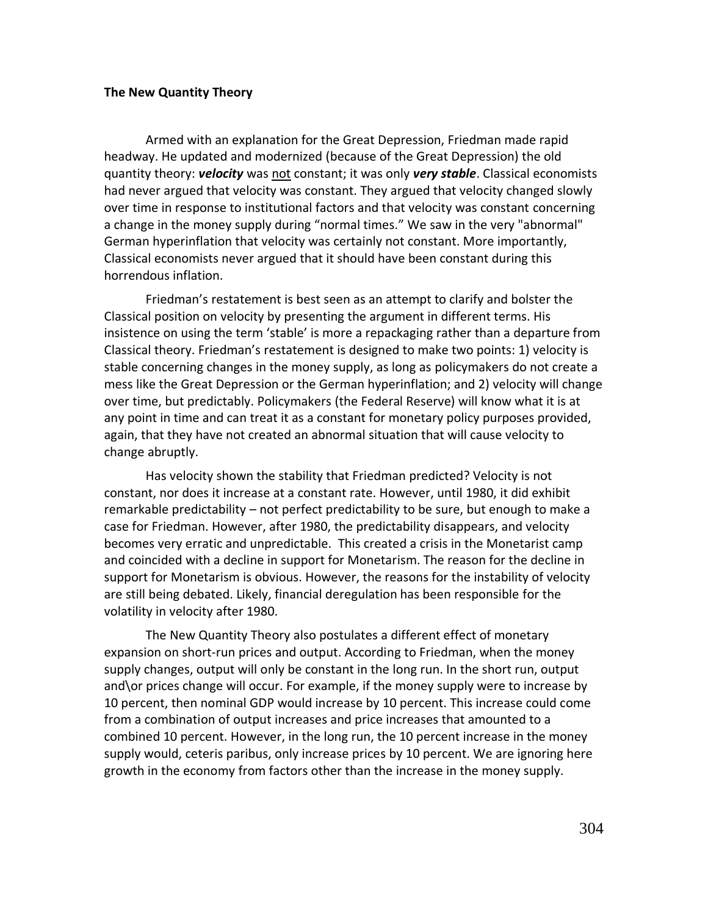#### **The New Quantity Theory**

Armed with an explanation for the Great Depression, Friedman made rapid headway. He updated and modernized (because of the Great Depression) the old quantity theory: *velocity* was not constant; it was only *very stable*. Classical economists had never argued that velocity was constant. They argued that velocity changed slowly over time in response to institutional factors and that velocity was constant concerning a change in the money supply during "normal times." We saw in the very "abnormal" German hyperinflation that velocity was certainly not constant. More importantly, Classical economists never argued that it should have been constant during this horrendous inflation.

Friedman's restatement is best seen as an attempt to clarify and bolster the Classical position on velocity by presenting the argument in different terms. His insistence on using the term 'stable' is more a repackaging rather than a departure from Classical theory. Friedman's restatement is designed to make two points: 1) velocity is stable concerning changes in the money supply, as long as policymakers do not create a mess like the Great Depression or the German hyperinflation; and 2) velocity will change over time, but predictably. Policymakers (the Federal Reserve) will know what it is at any point in time and can treat it as a constant for monetary policy purposes provided, again, that they have not created an abnormal situation that will cause velocity to change abruptly.

Has velocity shown the stability that Friedman predicted? Velocity is not constant, nor does it increase at a constant rate. However, until 1980, it did exhibit remarkable predictability – not perfect predictability to be sure, but enough to make a case for Friedman. However, after 1980, the predictability disappears, and velocity becomes very erratic and unpredictable. This created a crisis in the Monetarist camp and coincided with a decline in support for Monetarism. The reason for the decline in support for Monetarism is obvious. However, the reasons for the instability of velocity are still being debated. Likely, financial deregulation has been responsible for the volatility in velocity after 1980.

The New Quantity Theory also postulates a different effect of monetary expansion on short-run prices and output. According to Friedman, when the money supply changes, output will only be constant in the long run. In the short run, output and\or prices change will occur. For example, if the money supply were to increase by 10 percent, then nominal GDP would increase by 10 percent. This increase could come from a combination of output increases and price increases that amounted to a combined 10 percent. However, in the long run, the 10 percent increase in the money supply would, ceteris paribus, only increase prices by 10 percent. We are ignoring here growth in the economy from factors other than the increase in the money supply.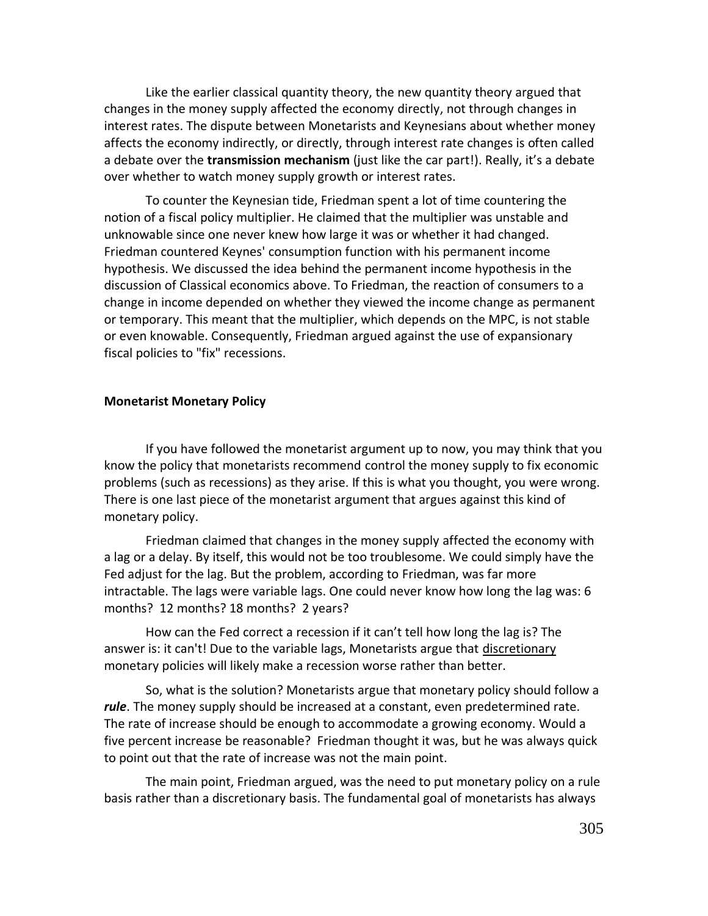Like the earlier classical quantity theory, the new quantity theory argued that changes in the money supply affected the economy directly, not through changes in interest rates. The dispute between Monetarists and Keynesians about whether money affects the economy indirectly, or directly, through interest rate changes is often called a debate over the **transmission mechanism** (just like the car part!). Really, it's a debate over whether to watch money supply growth or interest rates.

To counter the Keynesian tide, Friedman spent a lot of time countering the notion of a fiscal policy multiplier. He claimed that the multiplier was unstable and unknowable since one never knew how large it was or whether it had changed. Friedman countered Keynes' consumption function with his permanent income hypothesis. We discussed the idea behind the permanent income hypothesis in the discussion of Classical economics above. To Friedman, the reaction of consumers to a change in income depended on whether they viewed the income change as permanent or temporary. This meant that the multiplier, which depends on the MPC, is not stable or even knowable. Consequently, Friedman argued against the use of expansionary fiscal policies to "fix" recessions.

## **Monetarist Monetary Policy**

If you have followed the monetarist argument up to now, you may think that you know the policy that monetarists recommend control the money supply to fix economic problems (such as recessions) as they arise. If this is what you thought, you were wrong. There is one last piece of the monetarist argument that argues against this kind of monetary policy.

Friedman claimed that changes in the money supply affected the economy with a lag or a delay. By itself, this would not be too troublesome. We could simply have the Fed adjust for the lag. But the problem, according to Friedman, was far more intractable. The lags were variable lags. One could never know how long the lag was: 6 months? 12 months? 18 months? 2 years?

How can the Fed correct a recession if it can't tell how long the lag is? The answer is: it can't! Due to the variable lags, Monetarists argue that discretionary monetary policies will likely make a recession worse rather than better.

So, what is the solution? Monetarists argue that monetary policy should follow a *rule*. The money supply should be increased at a constant, even predetermined rate. The rate of increase should be enough to accommodate a growing economy. Would a five percent increase be reasonable? Friedman thought it was, but he was always quick to point out that the rate of increase was not the main point.

The main point, Friedman argued, was the need to put monetary policy on a rule basis rather than a discretionary basis. The fundamental goal of monetarists has always